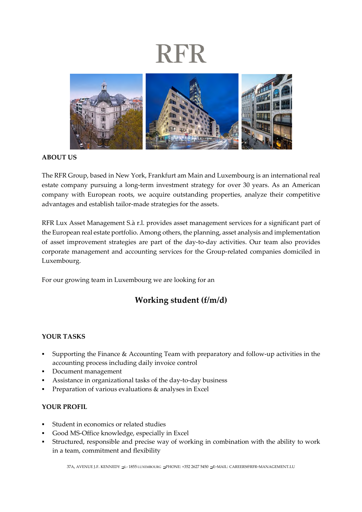# **RFR**



#### **ABOUT US**

The RFR Group, based in New York, Frankfurt am Main and Luxembourg is an international real estate company pursuing a long-term investment strategy for over 30 years. As an American company with European roots, we acquire outstanding properties, analyze their competitive advantages and establish tailor-made strategies for the assets.

RFR Lux Asset Management S.à r.l. provides asset management services for a significant part of the European real estate portfolio. Among others, the planning, asset analysis and implementation of asset improvement strategies are part of the day-to-day activities. Our team also provides corporate management and accounting services for the Group-related companies domiciled in Luxembourg.

For our growing team in Luxembourg we are looking for an

### **Working student (f/m/d)**

### **YOUR TASKS**

- Supporting the Finance & Accounting Team with preparatory and follow-up activities in the accounting process including daily invoice control
- Document management
- Assistance in organizational tasks of the day-to-day business
- Preparation of various evaluations & analyses in Excel

### **YOUR PROFIL**

- Student in economics or related studies
- Good MS-Office knowledge, especially in Excel
- Structured, responsible and precise way of working in combination with the ability to work in a team, commitment and flexibility